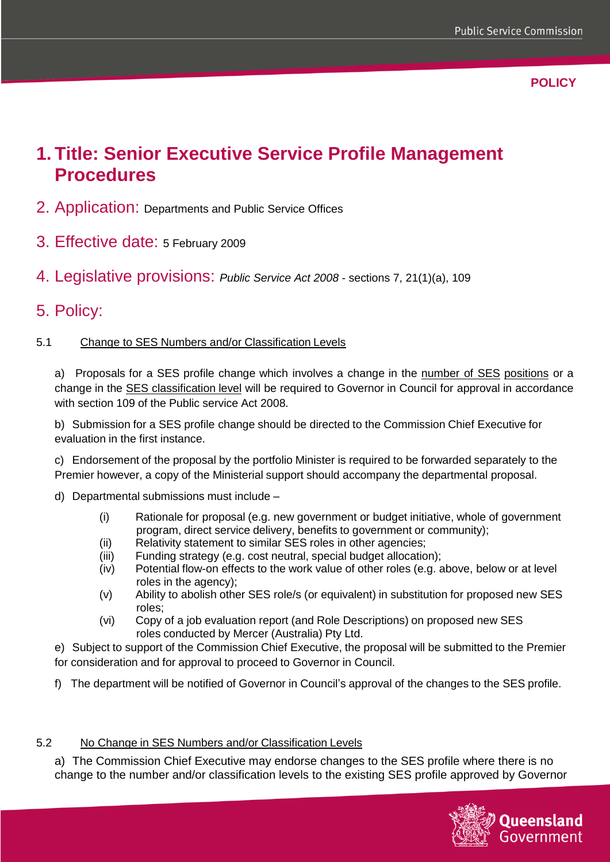**POLICY**

# **1. Title: Senior Executive Service Profile Management Procedures**

- 2. Application: Departments and Public Service Offices
- 3. Effective date: 5 February 2009
- 4. Legislative provisions: *Public Service Act 2008* sections 7, 21(1)(a), 109

### 5. Policy:

#### 5.1 Change to SES Numbers and/or Classification Levels

a) Proposals for a SES profile change which involves a change in the number of SES positions or a change in the SES classification level will be required to Governor in Council for approval in accordance with section 109 of the Public service Act 2008.

b) Submission for a SES profile change should be directed to the Commission Chief Executive for evaluation in the first instance.

c) Endorsement of the proposal by the portfolio Minister is required to be forwarded separately to the Premier however, a copy of the Ministerial support should accompany the departmental proposal.

- d) Departmental submissions must include
	- (i) Rationale for proposal (e.g. new government or budget initiative, whole of government program, direct service delivery, benefits to government or community);
	- (ii) Relativity statement to similar SES roles in other agencies;
	- (iii) Funding strategy (e.g. cost neutral, special budget allocation);
	- (iv) Potential flow-on effects to the work value of other roles (e.g. above, below or at level roles in the agency);
	- (v) Ability to abolish other SES role/s (or equivalent) in substitution for proposed new SES roles;
	- (vi) Copy of a job evaluation report (and Role Descriptions) on proposed new SES roles conducted by Mercer (Australia) Pty Ltd.
- e) Subject to support of the Commission Chief Executive, the proposal will be submitted to the Premier for consideration and for approval to proceed to Governor in Council.
- f) The department will be notified of Governor in Council's approval of the changes to the SES profile.

#### 5.2 No Change in SES Numbers and/or Classification Levels

a) The Commission Chief Executive may endorse changes to the SES profile where there is no change to the number and/or classification levels to the existing SES profile approved by Governor